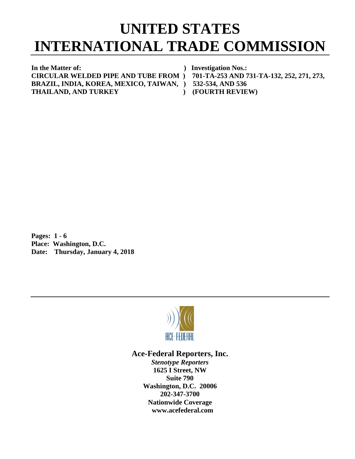## **UNITED STATES INTERNATIONAL TRADE COMMISSION**

**In the Matter of: ) Investigation Nos.: CIRCULAR WELDED PIPE AND TUBE FROM ) 701-TA-253 AND 731-TA-132, 252, 271, 273, BRAZIL, INDIA, KOREA, MEXICO, TAIWAN, ) 532-534, AND 536 THAILAND, AND TURKEY ) (FOURTH REVIEW)**

**Pages: 1 - 6 Place: Washington, D.C. Date: Thursday, January 4, 2018**



## **Ace-Federal Reporters, Inc.**

*Stenotype Reporters* **1625 I Street, NW Suite 790 Washington, D.C. 20006 202-347-3700 Nationwide Coverage www.acefederal.com**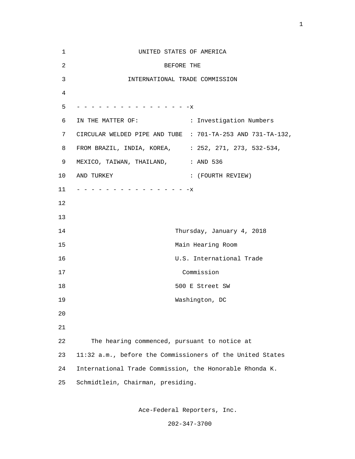| $\mathbf 1$    | UNITED STATES OF AMERICA                                   |
|----------------|------------------------------------------------------------|
| $\overline{2}$ | BEFORE THE                                                 |
| 3              | INTERNATIONAL TRADE COMMISSION                             |
| 4              |                                                            |
| 5              | - - - - - - - - - - - - - - - X                            |
| 6              | IN THE MATTER OF:<br>: Investigation Numbers               |
| 7              | CIRCULAR WELDED PIPE AND TUBE : 701-TA-253 AND 731-TA-132, |
| 8              | FROM BRAZIL, INDIA, KOREA, : 252, 271, 273, 532-534,       |
| 9              | MEXICO, TAIWAN, THAILAND, : AND 536                        |
| 10             | AND TURKEY<br>: (FOURTH REVIEW)                            |
| 11             | - - - - - - - - - - - - - - - X                            |
| 12             |                                                            |
| 13             |                                                            |
| 14             | Thursday, January 4, 2018                                  |
| 15             | Main Hearing Room                                          |
| 16             | U.S. International Trade                                   |
| 17             | Commission                                                 |
| 18             | 500 E Street SW                                            |
| 19             | Washington, DC                                             |
| 20             |                                                            |
| 21             |                                                            |
| 22             | The hearing commenced, pursuant to notice at               |
| 23             | 11:32 a.m., before the Commissioners of the United States  |
| 24             | International Trade Commission, the Honorable Rhonda K.    |
| 25             | Schmidtlein, Chairman, presiding.                          |

Ace-Federal Reporters, Inc.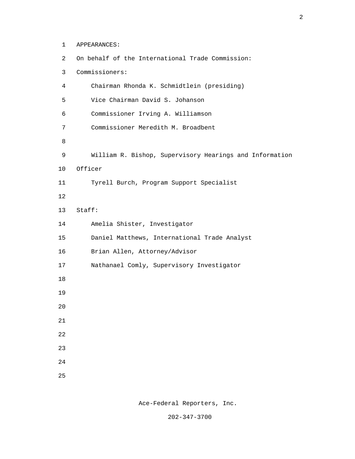1 APPEARANCES: 2 On behalf of the International Trade Commission: 3 Commissioners: 4 Chairman Rhonda K. Schmidtlein (presiding) 5 Vice Chairman David S. Johanson 6 Commissioner Irving A. Williamson 7 Commissioner Meredith M. Broadbent e a seu a constantin de la Barca de la Barca de la Barca de la Barca de la Barca de la Barca de la Barca de la 9 William R. Bishop, Supervisory Hearings and Information 10 Officer 11 Tyrell Burch, Program Support Specialist 12 13 Staff: 14 Amelia Shister, Investigator 15 Daniel Matthews, International Trade Analyst 16 Brian Allen, Attorney/Advisor 17 Nathanael Comly, Supervisory Investigator 18 19 20 21 22 23 24 <u>25</u>

Ace-Federal Reporters, Inc.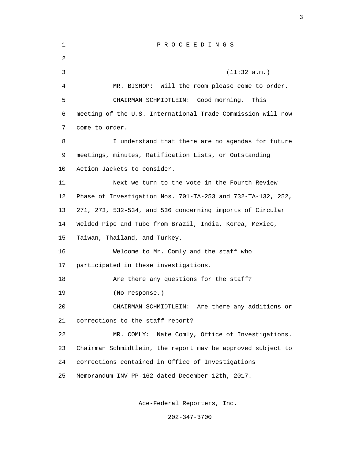| $\mathbf{1}$ | PROCEEDINGS                                                 |
|--------------|-------------------------------------------------------------|
| 2            |                                                             |
| 3            | (11:32 a.m.)                                                |
| 4            | MR. BISHOP: Will the room please come to order.             |
| 5            | CHAIRMAN SCHMIDTLEIN: Good morning.<br>This                 |
| 6            | meeting of the U.S. International Trade Commission will now |
| 7            | come to order.                                              |
| 8            | I understand that there are no agendas for future           |
| 9            | meetings, minutes, Ratification Lists, or Outstanding       |
| 10           | Action Jackets to consider.                                 |
| 11           | Next we turn to the vote in the Fourth Review               |
| 12           | Phase of Investigation Nos. 701-TA-253 and 732-TA-132, 252, |
| 13           | 271, 273, 532-534, and 536 concerning imports of Circular   |
| 14           | Welded Pipe and Tube from Brazil, India, Korea, Mexico,     |
| 15           | Taiwan, Thailand, and Turkey.                               |
| 16           | Welcome to Mr. Comly and the staff who                      |
| 17           | participated in these investigations.                       |
| 18           | Are there any questions for the staff?                      |
| 19           | (No response.)                                              |
| 20           | CHAIRMAN SCHMIDTLEIN: Are there any additions or            |
| 21           | corrections to the staff report?                            |
| 22           | Nate Comly, Office of Investigations.<br>MR. COMLY:         |
| 23           | Chairman Schmidtlein, the report may be approved subject to |
| 24           | corrections contained in Office of Investigations           |
| 25           | Memorandum INV PP-162 dated December 12th, 2017.            |
|              |                                                             |

Ace-Federal Reporters, Inc.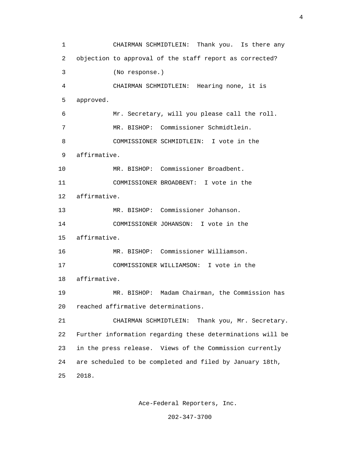1 CHAIRMAN SCHMIDTLEIN: Thank you. Is there any 2 objection to approval of the staff report as corrected? 3 (No response.) 4 CHAIRMAN SCHMIDTLEIN: Hearing none, it is 5 approved. 6 Mr. Secretary, will you please call the roll. 7 MR. BISHOP: Commissioner Schmidtlein. 8 COMMISSIONER SCHMIDTLEIN: I vote in the 9 affirmative. 10 MR. BISHOP: Commissioner Broadbent. 11 COMMISSIONER BROADBENT: I vote in the 12 affirmative. 13 MR. BISHOP: Commissioner Johanson. 14 COMMISSIONER JOHANSON: I vote in the 15 affirmative. 16 MR. BISHOP: Commissioner Williamson. 17 COMMISSIONER WILLIAMSON: I vote in the 18 affirmative. 19 MR. BISHOP: Madam Chairman, the Commission has 20 reached affirmative determinations. 21 CHAIRMAN SCHMIDTLEIN: Thank you, Mr. Secretary. 22 Further information regarding these determinations will be 23 in the press release. Views of the Commission currently 24 are scheduled to be completed and filed by January 18th, 25 2018.

Ace-Federal Reporters, Inc.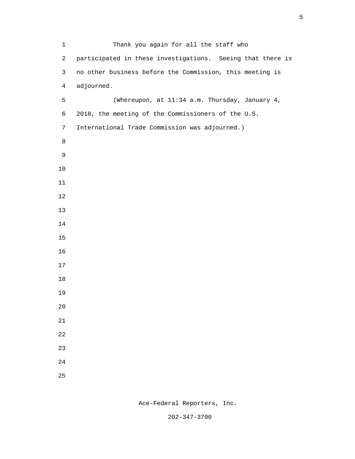| $\mathbf{1}$   | Thank you again for all the staff who                      |
|----------------|------------------------------------------------------------|
| $\overline{a}$ | participated in these investigations. Seeing that there is |
| 3              | no other business before the Commission, this meeting is   |
| $\overline{4}$ | adjourned.                                                 |
| 5              | (Whereupon, at 11:34 a.m. Thursday, January 4,             |
| 6              | 2018, the meeting of the Commissioners of the U.S.         |
| $7\phantom{.}$ | International Trade Commission was adjourned.)             |
| 8              |                                                            |
| 9              |                                                            |
| $10$           |                                                            |
| 11             |                                                            |
| 12             |                                                            |
| 13             |                                                            |
| 14             |                                                            |
| 15             |                                                            |
| 16             |                                                            |
| 17             |                                                            |
| $18\,$         |                                                            |
| 19             |                                                            |
| $20$           |                                                            |
| $21\,$         |                                                            |
| 22             |                                                            |
| 23             |                                                            |
| $2\sqrt{4}$    |                                                            |
| 25             |                                                            |

Ace-Federal Reporters, Inc.